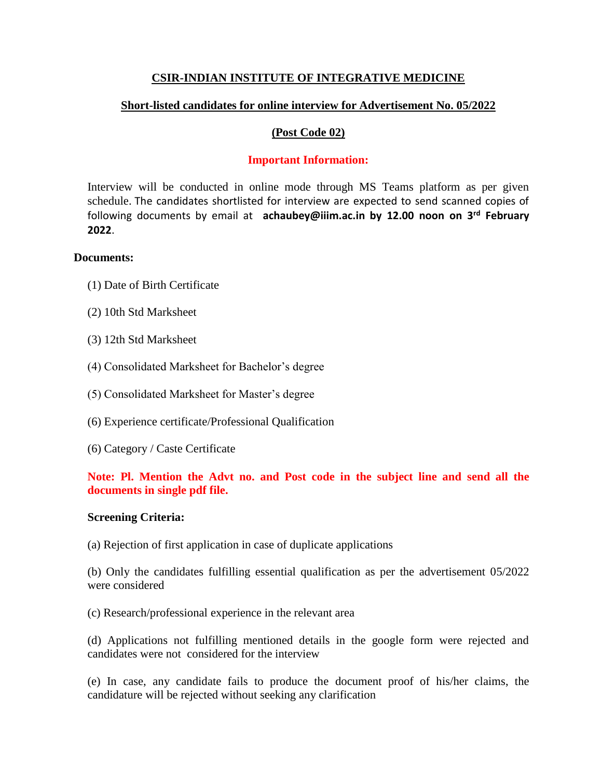# **CSIR-INDIAN INSTITUTE OF INTEGRATIVE MEDICINE**

# **Short-listed candidates for online interview for Advertisement No. 05/2022**

## **(Post Code 02)**

# **Important Information:**

Interview will be conducted in online mode through MS Teams platform as per given schedule. The candidates shortlisted for interview are expected to send scanned copies of following documents by email at **achaubey@iiim.ac.in by 12.00 noon on 3rd February 2022**.

#### **Documents:**

- (1) Date of Birth Certificate
- (2) 10th Std Marksheet
- (3) 12th Std Marksheet
- (4) Consolidated Marksheet for Bachelor's degree
- (5) Consolidated Marksheet for Master's degree
- (6) Experience certificate/Professional Qualification
- (6) Category / Caste Certificate

# **Note: Pl. Mention the Advt no. and Post code in the subject line and send all the documents in single pdf file.**

## **Screening Criteria:**

(a) Rejection of first application in case of duplicate applications

(b) Only the candidates fulfilling essential qualification as per the advertisement 05/2022 were considered

(c) Research/professional experience in the relevant area

(d) Applications not fulfilling mentioned details in the google form were rejected and candidates were not considered for the interview

(e) In case, any candidate fails to produce the document proof of his/her claims, the candidature will be rejected without seeking any clarification